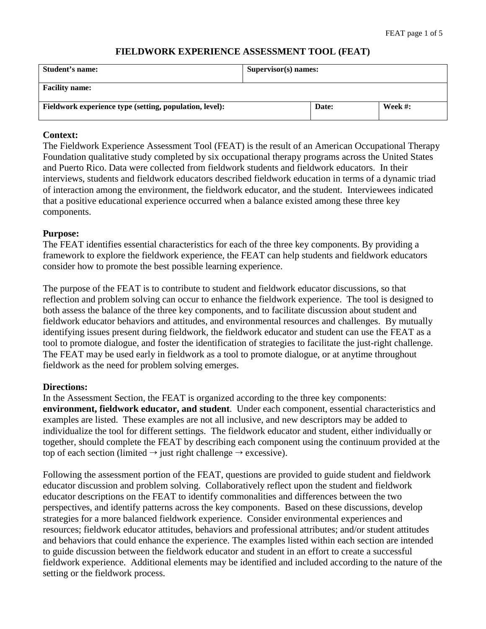#### **FIELDWORK EXPERIENCE ASSESSMENT TOOL (FEAT)**

| Student's name:                                         | Supervisor(s) names: |       |            |
|---------------------------------------------------------|----------------------|-------|------------|
| <b>Facility name:</b>                                   |                      |       |            |
| Fieldwork experience type (setting, population, level): |                      | Date: | Week $#$ : |

## **Context:**

The Fieldwork Experience Assessment Tool (FEAT) is the result of an American Occupational Therapy Foundation qualitative study completed by six occupational therapy programs across the United States and Puerto Rico. Data were collected from fieldwork students and fieldwork educators. In their interviews, students and fieldwork educators described fieldwork education in terms of a dynamic triad of interaction among the environment, the fieldwork educator, and the student. Interviewees indicated that a positive educational experience occurred when a balance existed among these three key components.

### **Purpose:**

The FEAT identifies essential characteristics for each of the three key components. By providing a framework to explore the fieldwork experience, the FEAT can help students and fieldwork educators consider how to promote the best possible learning experience.

The purpose of the FEAT is to contribute to student and fieldwork educator discussions, so that reflection and problem solving can occur to enhance the fieldwork experience. The tool is designed to both assess the balance of the three key components, and to facilitate discussion about student and fieldwork educator behaviors and attitudes, and environmental resources and challenges. By mutually identifying issues present during fieldwork, the fieldwork educator and student can use the FEAT as a tool to promote dialogue, and foster the identification of strategies to facilitate the just-right challenge. The FEAT may be used early in fieldwork as a tool to promote dialogue, or at anytime throughout fieldwork as the need for problem solving emerges.

#### **Directions:**

In the Assessment Section, the FEAT is organized according to the three key components: **environment, fieldwork educator, and student**. Under each component, essential characteristics and examples are listed. These examples are not all inclusive, and new descriptors may be added to individualize the tool for different settings. The fieldwork educator and student, either individually or together, should complete the FEAT by describing each component using the continuum provided at the top of each section (limited  $\rightarrow$  just right challenge  $\rightarrow$  excessive).

Following the assessment portion of the FEAT, questions are provided to guide student and fieldwork educator discussion and problem solving. Collaboratively reflect upon the student and fieldwork educator descriptions on the FEAT to identify commonalities and differences between the two perspectives, and identify patterns across the key components. Based on these discussions, develop strategies for a more balanced fieldwork experience. Consider environmental experiences and resources; fieldwork educator attitudes, behaviors and professional attributes; and/or student attitudes and behaviors that could enhance the experience. The examples listed within each section are intended to guide discussion between the fieldwork educator and student in an effort to create a successful fieldwork experience. Additional elements may be identified and included according to the nature of the setting or the fieldwork process.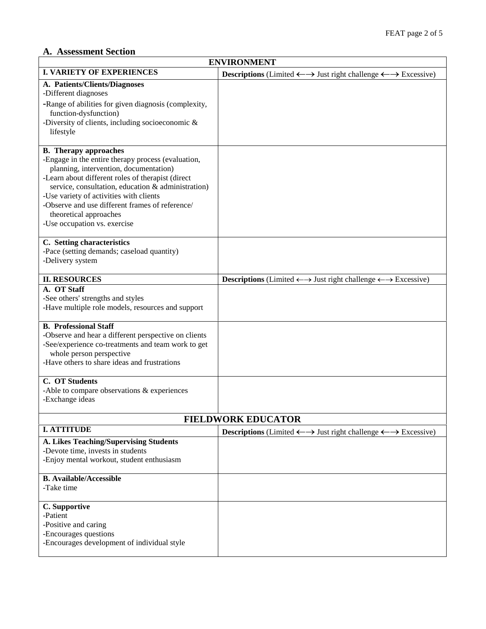# **A. Assessment Section**

| <b>ENVIRONMENT</b>                                                                                                                                                                                                                                                                                                                                                                              |                                                                                                                |  |
|-------------------------------------------------------------------------------------------------------------------------------------------------------------------------------------------------------------------------------------------------------------------------------------------------------------------------------------------------------------------------------------------------|----------------------------------------------------------------------------------------------------------------|--|
| <b>I. VARIETY OF EXPERIENCES</b>                                                                                                                                                                                                                                                                                                                                                                | <b>Descriptions</b> (Limited $\leftarrow \rightarrow$ Just right challenge $\leftarrow \rightarrow$ Excessive) |  |
| A. Patients/Clients/Diagnoses<br>-Different diagnoses<br>-Range of abilities for given diagnosis (complexity,<br>function-dysfunction)<br>-Diversity of clients, including socioeconomic &<br>lifestyle                                                                                                                                                                                         |                                                                                                                |  |
| <b>B.</b> Therapy approaches<br>-Engage in the entire therapy process (evaluation,<br>planning, intervention, documentation)<br>-Learn about different roles of therapist (direct<br>service, consultation, education & administration)<br>-Use variety of activities with clients<br>-Observe and use different frames of reference/<br>theoretical approaches<br>-Use occupation vs. exercise |                                                                                                                |  |
| C. Setting characteristics<br>-Pace (setting demands; caseload quantity)<br>-Delivery system                                                                                                                                                                                                                                                                                                    |                                                                                                                |  |
| <b>II. RESOURCES</b>                                                                                                                                                                                                                                                                                                                                                                            | <b>Descriptions</b> (Limited $\leftarrow \rightarrow$ Just right challenge $\leftarrow \rightarrow$ Excessive) |  |
| A. OT Staff<br>-See others' strengths and styles<br>-Have multiple role models, resources and support                                                                                                                                                                                                                                                                                           |                                                                                                                |  |
| <b>B.</b> Professional Staff<br>-Observe and hear a different perspective on clients<br>-See/experience co-treatments and team work to get<br>whole person perspective<br>-Have others to share ideas and frustrations                                                                                                                                                                          |                                                                                                                |  |
| <b>C. OT Students</b><br>-Able to compare observations $&$ experiences<br>-Exchange ideas                                                                                                                                                                                                                                                                                                       |                                                                                                                |  |
| <b>FIELDWORK EDUCATOR</b>                                                                                                                                                                                                                                                                                                                                                                       |                                                                                                                |  |
| <b>I. ATTITUDE</b>                                                                                                                                                                                                                                                                                                                                                                              | <b>Descriptions</b> (Limited $\leftarrow \rightarrow$ Just right challenge $\leftarrow \rightarrow$ Excessive) |  |
| A. Likes Teaching/Supervising Students<br>-Devote time, invests in students<br>-Enjoy mental workout, student enthusiasm                                                                                                                                                                                                                                                                        |                                                                                                                |  |
| <b>B.</b> Available/Accessible<br>-Take time                                                                                                                                                                                                                                                                                                                                                    |                                                                                                                |  |
| C. Supportive<br>-Patient<br>-Positive and caring<br>-Encourages questions<br>-Encourages development of individual style                                                                                                                                                                                                                                                                       |                                                                                                                |  |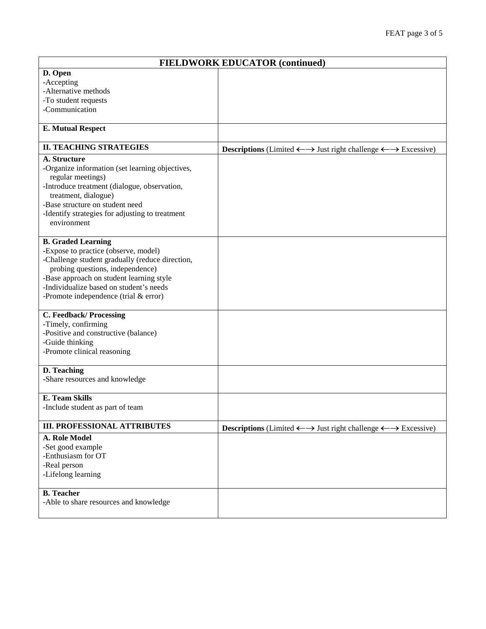| <b>FIELDWORK EDUCATOR (continued)</b>           |                                                                                                          |  |
|-------------------------------------------------|----------------------------------------------------------------------------------------------------------|--|
| D. Open                                         |                                                                                                          |  |
| -Accepting                                      |                                                                                                          |  |
| -Alternative methods                            |                                                                                                          |  |
| -To student requests                            |                                                                                                          |  |
| -Communication                                  |                                                                                                          |  |
|                                                 |                                                                                                          |  |
| <b>E. Mutual Respect</b>                        |                                                                                                          |  |
| <b>II. TEACHING STRATEGIES</b>                  | <b>Descriptions</b> (Limited $\longleftrightarrow$ Just right challenge $\longleftrightarrow$ Excessive) |  |
| A. Structure                                    |                                                                                                          |  |
| -Organize information (set learning objectives, |                                                                                                          |  |
| regular meetings)                               |                                                                                                          |  |
| -Introduce treatment (dialogue, observation,    |                                                                                                          |  |
| treatment, dialogue)                            |                                                                                                          |  |
| -Base structure on student need                 |                                                                                                          |  |
| -Identify strategies for adjusting to treatment |                                                                                                          |  |
| environment                                     |                                                                                                          |  |
| <b>B.</b> Graded Learning                       |                                                                                                          |  |
| -Expose to practice (observe, model)            |                                                                                                          |  |
| -Challenge student gradually (reduce direction, |                                                                                                          |  |
| probing questions, independence)                |                                                                                                          |  |
| -Base approach on student learning style        |                                                                                                          |  |
| -Individualize based on student's needs         |                                                                                                          |  |
| -Promote independence (trial $&$ error)         |                                                                                                          |  |
| C. Feedback/Processing                          |                                                                                                          |  |
| -Timely, confirming                             |                                                                                                          |  |
| -Positive and constructive (balance)            |                                                                                                          |  |
| -Guide thinking                                 |                                                                                                          |  |
| -Promote clinical reasoning                     |                                                                                                          |  |
|                                                 |                                                                                                          |  |
| D. Teaching                                     |                                                                                                          |  |
| -Share resources and knowledge                  |                                                                                                          |  |
| <b>E. Team Skills</b>                           |                                                                                                          |  |
| -Include student as part of team                |                                                                                                          |  |
|                                                 |                                                                                                          |  |
| <b>III. PROFESSIONAL ATTRIBUTES</b>             | <b>Descriptions</b> (Limited $\longleftrightarrow$ Just right challenge $\longleftrightarrow$ Excessive) |  |
| A. Role Model                                   |                                                                                                          |  |
| -Set good example                               |                                                                                                          |  |
| -Enthusiasm for OT                              |                                                                                                          |  |
| -Real person                                    |                                                                                                          |  |
| -Lifelong learning                              |                                                                                                          |  |
| <b>B.</b> Teacher                               |                                                                                                          |  |
| -Able to share resources and knowledge          |                                                                                                          |  |
|                                                 |                                                                                                          |  |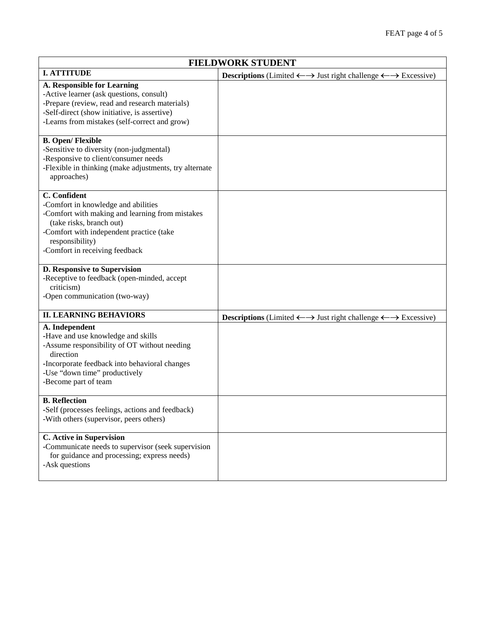| <b>FIELDWORK STUDENT</b>                                                                                                                                                                                                            |                                                                                                          |  |
|-------------------------------------------------------------------------------------------------------------------------------------------------------------------------------------------------------------------------------------|----------------------------------------------------------------------------------------------------------|--|
| <b>I. ATTITUDE</b>                                                                                                                                                                                                                  | <b>Descriptions</b> (Limited $\longleftrightarrow$ Just right challenge $\longleftrightarrow$ Excessive) |  |
| <b>A. Responsible for Learning</b><br>-Active learner (ask questions, consult)<br>-Prepare (review, read and research materials)<br>-Self-direct (show initiative, is assertive)<br>-Learns from mistakes (self-correct and grow)   |                                                                                                          |  |
| <b>B.</b> Open/Flexible<br>-Sensitive to diversity (non-judgmental)<br>-Responsive to client/consumer needs<br>-Flexible in thinking (make adjustments, try alternate<br>approaches)                                                |                                                                                                          |  |
| C. Confident<br>-Comfort in knowledge and abilities<br>-Comfort with making and learning from mistakes<br>(take risks, branch out)<br>-Comfort with independent practice (take<br>responsibility)<br>-Comfort in receiving feedback |                                                                                                          |  |
| D. Responsive to Supervision<br>-Receptive to feedback (open-minded, accept<br>criticism)<br>-Open communication (two-way)                                                                                                          |                                                                                                          |  |
| <b>II. LEARNING BEHAVIORS</b>                                                                                                                                                                                                       | <b>Descriptions</b> (Limited $\longleftrightarrow$ Just right challenge $\longleftrightarrow$ Excessive) |  |
| A. Independent<br>-Have and use knowledge and skills<br>-Assume responsibility of OT without needing<br>direction<br>-Incorporate feedback into behavioral changes<br>-Use "down time" productively<br>-Become part of team         |                                                                                                          |  |
| <b>B.</b> Reflection<br>-Self (processes feelings, actions and feedback)<br>-With others (supervisor, peers others)                                                                                                                 |                                                                                                          |  |
| C. Active in Supervision<br>-Communicate needs to supervisor (seek supervision<br>for guidance and processing; express needs)<br>-Ask questions                                                                                     |                                                                                                          |  |